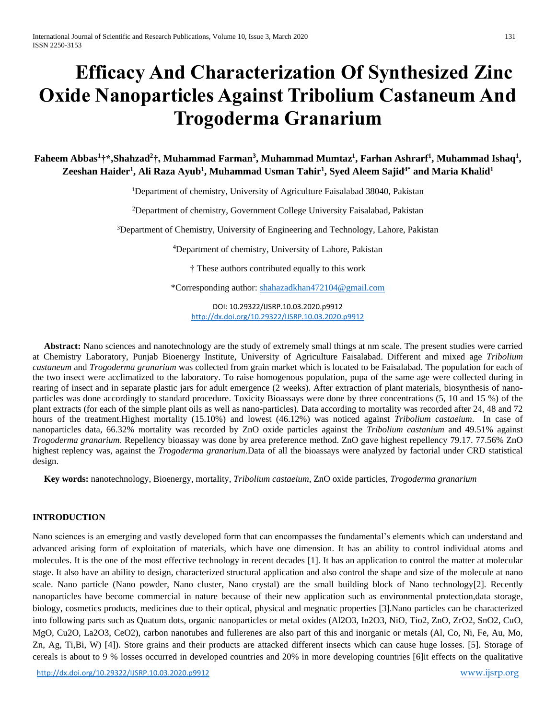# **Efficacy And Characterization Of Synthesized Zinc Oxide Nanoparticles Against Tribolium Castaneum And Trogoderma Granarium**

**Faheem Abbas<sup>1</sup>†\*,Shahzad<sup>2</sup>†, Muhammad Farman<sup>3</sup> , Muhammad Mumtaz<sup>1</sup> , Farhan Ashrarf<sup>1</sup> , Muhammad Ishaq<sup>1</sup> , Zeeshan Haider<sup>1</sup> , Ali Raza Ayub<sup>1</sup> , Muhammad Usman Tahir<sup>1</sup> , Syed Aleem Sajid4\* and Maria Khalid<sup>1</sup>**

<sup>1</sup>Department of chemistry, University of Agriculture Faisalabad 38040, Pakistan

<sup>2</sup>Department of chemistry, Government College University Faisalabad, Pakistan

<sup>3</sup>Department of Chemistry, University of Engineering and Technology, Lahore, Pakistan

<sup>4</sup>Department of chemistry, University of Lahore, Pakistan

† These authors contributed equally to this work

\*Corresponding author: [shahazadkhan472104@gmail.com](mailto:shahazadkhan472104@gmail.com)

DOI: 10.29322/IJSRP.10.03.2020.p9912 <http://dx.doi.org/10.29322/IJSRP.10.03.2020.p9912>

 **Abstract:** Nano sciences and nanotechnology are the study of extremely small things at nm scale. The present studies were carried at Chemistry Laboratory, Punjab Bioenergy Institute, University of Agriculture Faisalabad. Different and mixed age *Tribolium castaneum* and *Trogoderma granarium* was collected from grain market which is located to be Faisalabad. The population for each of the two insect were acclimatized to the laboratory. To raise homogenous population, pupa of the same age were collected during in rearing of insect and in separate plastic jars for adult emergence (2 weeks). After extraction of plant materials, biosynthesis of nanoparticles was done accordingly to standard procedure. Toxicity Bioassays were done by three concentrations (5, 10 and 15 %) of the plant extracts (for each of the simple plant oils as well as nano-particles). Data according to mortality was recorded after 24, 48 and 72 hours of the treatment.Highest mortality (15.10%) and lowest (46.12%) was noticed against *Tribolium castaeium*. In case of nanoparticles data, 66.32% mortality was recorded by ZnO oxide particles against the *Tribolium castanium* and 49.51% against *Trogoderma granarium*. Repellency bioassay was done by area preference method. ZnO gave highest repellency 79.17. 77.56% ZnO highest replency was, against the *Trogoderma granarium*.Data of all the bioassays were analyzed by factorial under CRD statistical design.

 **Key words:** nanotechnology, Bioenergy, mortality, *Tribolium castaeium,* ZnO oxide particles, *Trogoderma granarium*

#### **INTRODUCTION**

Nano sciences is an emerging and vastly developed form that can encompasses the fundamental's elements which can understand and advanced arising form of exploitation of materials, which have one dimension. It has an ability to control individual atoms and molecules. It is the one of the most effective technology in recent decades [1]. It has an application to control the matter at molecular stage. It also have an ability to design, characterized structural application and also control the shape and size of the molecule at nano scale. Nano particle (Nano powder, Nano cluster, Nano crystal) are the small building block of Nano technology[2]. Recently nanoparticles have become commercial in nature because of their new application such as environmental protection,data storage, biology, cosmetics products, medicines due to their optical, physical and megnatic properties [3].Nano particles can be characterized into following parts such as Quatum dots, organic nanoparticles or metal oxides (Al2O3, In2O3, NiO, Tio2, ZnO, ZrO2, SnO2, CuO, MgO, Cu2O, La2O3, CeO2), carbon nanotubes and fullerenes are also part of this and inorganic or metals (Al, Co, Ni, Fe, Au, Mo, Zn, Ag, Ti,Bi, W) [4]). Store grains and their products are attacked different insects which can cause huge losses. [5]. Storage of cereals is about to 9 % losses occurred in developed countries and 20% in more developing countries [6]it effects on the qualitative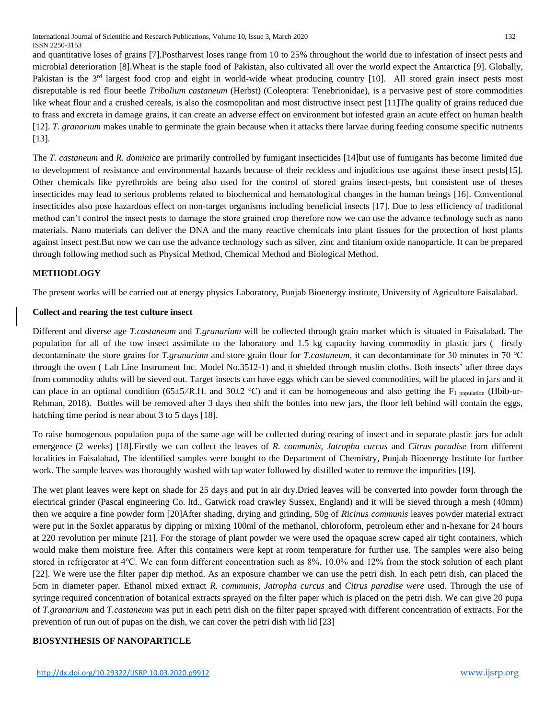International Journal of Scientific and Research Publications, Volume 10, Issue 3, March 2020 132 ISSN 2250-3153

and quantitative loses of grains [7].Postharvest loses range from 10 to 25% throughout the world due to infestation of insect pests and microbial deterioration [8].Wheat is the staple food of Pakistan, also cultivated all over the world expect the Antarctica [9]. Globally, Pakistan is the 3<sup>rd</sup> largest food crop and eight in world-wide wheat producing country [10]. All stored grain insect pests most disreputable is red flour beetle *Tribolium castaneum* (Herbst) (Coleoptera: Tenebrionidae), is a pervasive pest of store commodities like wheat flour and a crushed cereals, is also the cosmopolitan and most distructive insect pest [11]The quality of grains reduced due to frass and excreta in damage grains, it can create an adverse effect on environment but infested grain an acute effect on human health [12]. *T. granarium* makes unable to germinate the grain because when it attacks there larvae during feeding consume specific nutrients [13].

The *T. castaneum* and *R. dominica* are primarily controlled by fumigant insecticides [14]but use of fumigants has become limited due to development of resistance and environmental hazards because of their reckless and injudicious use against these insect pests[15]. Other chemicals like pyrethroids are being also used for the control of stored grains insect-pests, but consistent use of theses insecticides may lead to serious problems related to biochemical and hematological changes in the human beings [16]. Conventional insecticides also pose hazardous effect on non-target organisms including beneficial insects [17]. Due to less efficiency of traditional method can't control the insect pests to damage the store grained crop therefore now we can use the advance technology such as nano materials. Nano materials can deliver the DNA and the many reactive chemicals into plant tissues for the protection of host plants against insect pest.But now we can use the advance technology such as silver, zinc and titanium oxide nanoparticle. It can be prepared through following method such as Physical Method, Chemical Method and Biological Method.

## **METHODLOGY**

The present works will be carried out at energy physics Laboratory, Punjab Bioenergy institute, University of Agriculture Faisalabad.

#### **Collect and rearing the test culture insect**

Different and diverse age *T.castaneum* and *T.granarium* will be collected through grain market which is situated in Faisalabad. The population for all of the tow insect assimilate to the laboratory and 1.5 kg capacity having commodity in plastic jars ( firstly decontaminate the store grains for *T.granarium* and store grain flour for *T.castaneum*, it can decontaminate for 30 minutes in 70 ℃ through the oven ( Lab Line Instrument Inc. Model No.3512-1) and it shielded through muslin cloths. Both insects' after three days from commodity adults will be sieved out. Target insects can have eggs which can be sieved commodities, will be placed in jars and it can place in an optimal condition (65±5 $\times$ R.H. and 30 $\pm$ 2 °C) and it can be homogeneous and also getting the F<sub>1 population</sub> (Hbib-ur-Rehman, 2018). Bottles will be removed after 3 days then shift the bottles into new jars, the floor left behind will contain the eggs, hatching time period is near about 3 to 5 days [18].

To raise homogenous population pupa of the same age will be collected during rearing of insect and in separate plastic jars for adult emergence (2 weeks) [18].Firstly we can collect the leaves of *R. communis, Jatropha curcus* and *Citrus paradise* from different localities in Faisalabad, The identified samples were bought to the Department of Chemistry, Punjab Bioenergy Institute for further work. The sample leaves was thoroughly washed with tap water followed by distilled water to remove the impurities [19].

The wet plant leaves were kept on shade for 25 days and put in air dry.Dried leaves will be converted into powder form through the electrical grinder (Pascal engineering Co. ltd., Gatwick road crawley Sussex, England) and it will be sieved through a mesh (40mm) then we acquire a fine powder form [20]After shading, drying and grinding, 50g of *Ricinus communis* leaves powder material extract were put in the Soxlet apparatus by dipping or mixing 100ml of the methanol, chloroform, petroleum ether and n-hexane for 24 hours at 220 revolution per minute [21]. For the storage of plant powder we were used the opaquae screw caped air tight containers, which would make them moisture free. After this containers were kept at room temperature for further use. The samples were also being stored in refrigerator at 4℃. We can form different concentration such as 8%, 10.0% and 12% from the stock solution of each plant [22]. We were use the filter paper dip method. As an exposure chamber we can use the petri dish. In each petri dish, can placed the 5cm in diameter paper. Ethanol mixed extract *R. communis, Jatropha curcus* and *Citrus paradise were* used. Through the use of syringe required concentration of botanical extracts sprayed on the filter paper which is placed on the petri dish. We can give 20 pupa of *T.granarium* and *T.castaneum* was put in each petri dish on the filter paper sprayed with different concentration of extracts. For the prevention of run out of pupas on the dish, we can cover the petri dish with lid [23]

# **BIOSYNTHESIS OF NANOPARTICLE**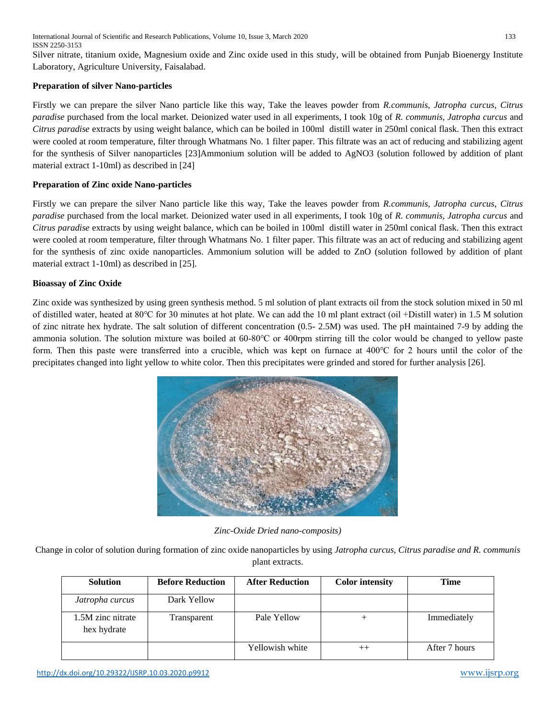International Journal of Scientific and Research Publications, Volume 10, Issue 3, March 2020 133 ISSN 2250-3153

Silver nitrate, titanium oxide, Magnesium oxide and Zinc oxide used in this study, will be obtained from Punjab Bioenergy Institute Laboratory, Agriculture University, Faisalabad.

## **Preparation of silver Nano-particles**

Firstly we can prepare the silver Nano particle like this way, Take the leaves powder from *R.communis*, *Jatropha curcus*, *Citrus paradise* purchased from the local market. Deionized water used in all experiments, I took 10g of *R. communis, Jatropha curcus* and *Citrus paradise* extracts by using weight balance, which can be boiled in 100ml distill water in 250ml conical flask. Then this extract were cooled at room temperature, filter through Whatmans No. 1 filter paper. This filtrate was an act of reducing and stabilizing agent for the synthesis of Silver nanoparticles [23]Ammonium solution will be added to AgNO3 (solution followed by addition of plant material extract 1-10ml) as described in [24]

# **Preparation of Zinc oxide Nano-particles**

Firstly we can prepare the silver Nano particle like this way, Take the leaves powder from *R.communis*, *Jatropha curcus*, *Citrus paradise* purchased from the local market. Deionized water used in all experiments, I took 10g of *R. communis, Jatropha curcus* and *Citrus paradise* extracts by using weight balance, which can be boiled in 100ml distill water in 250ml conical flask. Then this extract were cooled at room temperature, filter through Whatmans No. 1 filter paper. This filtrate was an act of reducing and stabilizing agent for the synthesis of zinc oxide nanoparticles. Ammonium solution will be added to ZnO (solution followed by addition of plant material extract 1-10ml) as described in [25].

## **Bioassay of Zinc Oxide**

Zinc oxide was synthesized by using green synthesis method. 5 ml solution of plant extracts oil from the stock solution mixed in 50 ml of distilled water, heated at 80℃ for 30 minutes at hot plate. We can add the 10 ml plant extract (oil +Distill water) in 1.5 M solution of zinc nitrate hex hydrate. The salt solution of different concentration (0.5- 2.5M) was used. The pH maintained 7-9 by adding the ammonia solution. The solution mixture was boiled at 60-80℃ or 400rpm stirring till the color would be changed to yellow paste form. Then this paste were transferred into a crucible, which was kept on furnace at 400℃ for 2 hours until the color of the precipitates changed into light yellow to white color. Then this precipitates were grinded and stored for further analysis [26].



*Zinc-Oxide Dried nano-composits)*

Change in color of solution during formation of zinc oxide nanoparticles by using *Jatropha curcus, Citrus paradise and R. communis*  plant extracts.

| <b>Solution</b>                  | <b>Before Reduction</b> | <b>After Reduction</b> | <b>Color</b> intensity | Time          |
|----------------------------------|-------------------------|------------------------|------------------------|---------------|
| Jatropha curcus                  | Dark Yellow             |                        |                        |               |
| 1.5M zinc nitrate<br>hex hydrate | Transparent             | Pale Yellow            |                        | Immediately   |
|                                  |                         | Yellowish white        | $^{++}$                | After 7 hours |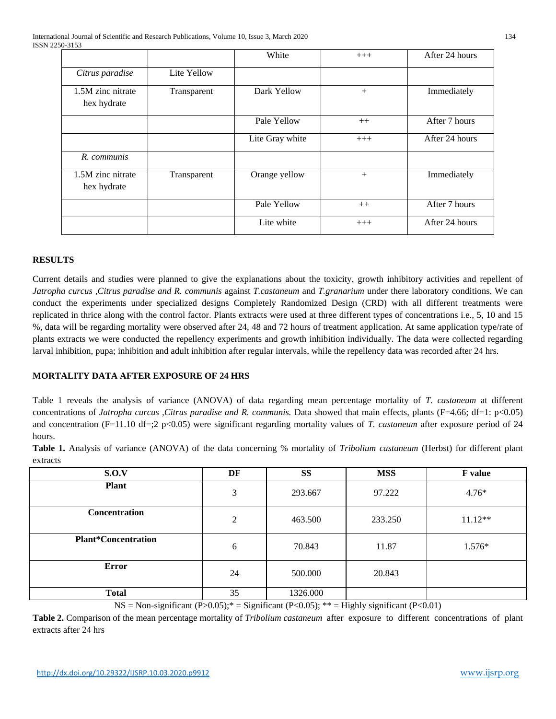|                                  |             | White           | $+++$ | After 24 hours |
|----------------------------------|-------------|-----------------|-------|----------------|
| Citrus paradise                  | Lite Yellow |                 |       |                |
| 1.5M zinc nitrate<br>hex hydrate | Transparent | Dark Yellow     | $+$   | Immediately    |
|                                  |             | Pale Yellow     | $++$  | After 7 hours  |
|                                  |             | Lite Gray white | $+++$ | After 24 hours |
| R. communis                      |             |                 |       |                |
| 1.5M zinc nitrate<br>hex hydrate | Transparent | Orange yellow   | $+$   | Immediately    |
|                                  |             | Pale Yellow     | $++$  | After 7 hours  |
|                                  |             | Lite white      | $+++$ | After 24 hours |

# **RESULTS**

Current details and studies were planned to give the explanations about the toxicity, growth inhibitory activities and repellent of *Jatropha curcus ,Citrus paradise and R. communis* against *T.castaneum* and *T.granarium* under there laboratory conditions. We can conduct the experiments under specialized designs Completely Randomized Design (CRD) with all different treatments were replicated in thrice along with the control factor. Plants extracts were used at three different types of concentrations i.e., 5, 10 and 15 %, data will be regarding mortality were observed after 24, 48 and 72 hours of treatment application. At same application type/rate of plants extracts we were conducted the repellency experiments and growth inhibition individually. The data were collected regarding larval inhibition, pupa; inhibition and adult inhibition after regular intervals, while the repellency data was recorded after 24 hrs.

# **MORTALITY DATA AFTER EXPOSURE OF 24 HRS**

Table 1 reveals the analysis of variance (ANOVA) of data regarding mean percentage mortality of *T. castaneum* at different concentrations of *Jatropha curcus ,Citrus paradise and R. communis.* Data showed that main effects, plants (F=4.66; df=1: p<0.05) and concentration (F=11.10 df=;2 p<0.05) were significant regarding mortality values of *T. castaneum* after exposure period of 24 hours.

**Table 1.** Analysis of variance (ANOVA) of the data concerning % mortality of *Tribolium castaneum* (Herbst) for different plant extracts

| S.O.V                      | DF | <b>SS</b> | <b>MSS</b> | <b>F</b> value |
|----------------------------|----|-----------|------------|----------------|
| <b>Plant</b>               | 3  | 293.667   | 97.222     | $4.76*$        |
| Concentration              | 2  | 463.500   | 233.250    | $11.12**$      |
| <b>Plant*Concentration</b> | 6  | 70.843    | 11.87      | 1.576*         |
| <b>Error</b>               | 24 | 500.000   | 20.843     |                |
| <b>Total</b>               | 35 | 1326.000  |            |                |

 $NS = Non-significant (P > 0.05);$ <sup>\*</sup> = Significant (P<0.05); \*\* = Highly significant (P<0.01)

**Table 2.** Comparison of the mean percentage mortality of *Tribolium castaneum* after exposure to different concentrations of plant extracts after 24 hrs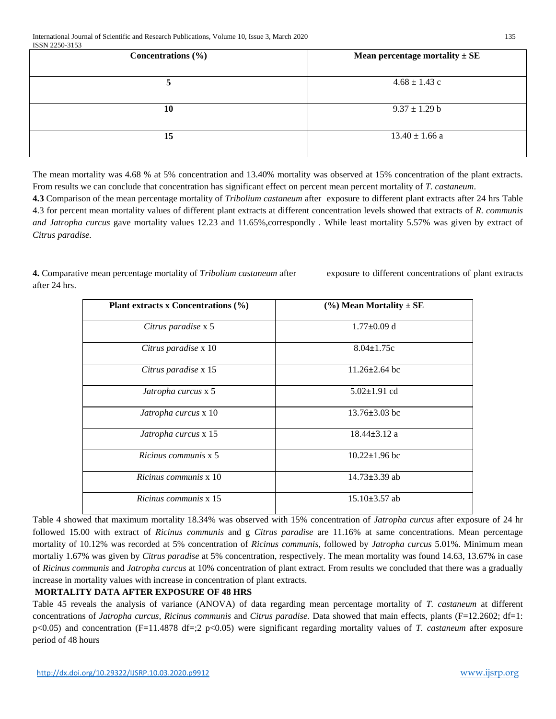| PODIA PLAY ALOV        |                                    |  |  |  |
|------------------------|------------------------------------|--|--|--|
| Concentrations $(\% )$ | Mean percentage mortality $\pm$ SE |  |  |  |
| 5                      | $4.68 \pm 1.43$ c                  |  |  |  |
| 10                     | $9.37 \pm 1.29$ b                  |  |  |  |
| 15                     | $13.40 \pm 1.66$ a                 |  |  |  |

The mean mortality was 4.68 % at 5% concentration and 13.40% mortality was observed at 15% concentration of the plant extracts. From results we can conclude that concentration has significant effect on percent mean percent mortality of *T. castaneum*.

**4.3** Comparison of the mean percentage mortality of *Tribolium castaneum* after exposure to different plant extracts after 24 hrs Table 4.3 for percent mean mortality values of different plant extracts at different concentration levels showed that extracts of *R. communis and Jatropha curcus* gave mortality values 12.23 and 11.65%,correspondly *.* While least mortality 5.57% was given by extract of *Citrus paradise.*

**4.** Comparative mean percentage mortality of *Tribolium castaneum* after exposure to different concentrations of plant extracts after 24 hrs.

| Plant extracts x Concentrations (%) | $(\%)$ Mean Mortality $\pm$ SE |  |  |
|-------------------------------------|--------------------------------|--|--|
| Citrus paradise x 5                 | $1.77 \pm 0.09$ d              |  |  |
| Citrus paradise x 10                | $8.04 \pm 1.75c$               |  |  |
| Citrus paradise x 15                | $11.26 \pm 2.64$ bc            |  |  |
| Jatropha curcus x 5                 | $5.02 \pm 1.91$ cd             |  |  |
| Jatropha curcus x 10                | $13.76 \pm 3.03$ bc            |  |  |
| Jatropha curcus x 15                | $18.44 \pm 3.12$ a             |  |  |
| Ricinus communis x 5                | $10.22 \pm 1.96$ bc            |  |  |
| Ricinus communis x 10               | $14.73 \pm 3.39$ ab            |  |  |
| Ricinus communis x 15               | $15.10\pm3.57$ ab              |  |  |

Table 4 showed that maximum mortality 18.34% was observed with 15% concentration of *Jatropha curcus* after exposure of 24 hr followed 15.00 with extract of *Ricinus communis* and g *Citrus paradise* are 11.16% at same concentrations. Mean percentage mortality of 10.12% was recorded at 5% concentration of *Ricinus communis*, followed by *Jatropha curcus* 5.01%. Minimum mean mortaliy 1.67% was given by *Citrus paradise* at 5% concentration, respectively. The mean mortality was found 14.63, 13.67% in case of *Ricinus communis* and *Jatropha curcus* at 10% concentration of plant extract. From results we concluded that there was a gradually increase in mortality values with increase in concentration of plant extracts.

# **MORTALITY DATA AFTER EXPOSURE OF 48 HRS**

Table 45 reveals the analysis of variance (ANOVA) of data regarding mean percentage mortality of *T. castaneum* at different concentrations of *Jatropha curcus, Ricinus communis* and *Citrus paradise.* Data showed that main effects, plants (F=12.2602; df=1: p<0.05) and concentration (F=11.4878 df=;2 p<0.05) were significant regarding mortality values of *T. castaneum* after exposure period of 48 hours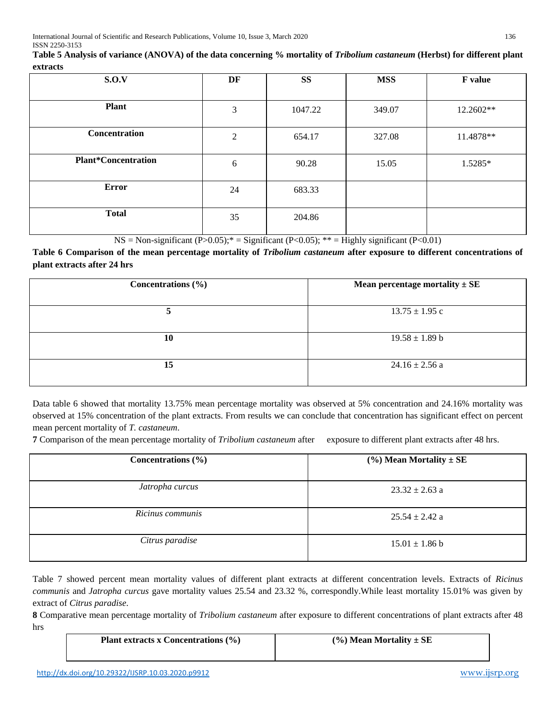| Table 5 Analysis of variance (ANOVA) of the data concerning % mortality of Tribolium castaneum (Herbst) for different plant |  |
|-----------------------------------------------------------------------------------------------------------------------------|--|
| extracts                                                                                                                    |  |

| ----------                 |                |           |            |           |
|----------------------------|----------------|-----------|------------|-----------|
| S.O.V                      | DF             | <b>SS</b> | <b>MSS</b> | F value   |
| <b>Plant</b>               | $\mathfrak{Z}$ | 1047.22   | 349.07     | 12.2602** |
| Concentration              | 2              | 654.17    | 327.08     | 11.4878** |
| <b>Plant*Concentration</b> | 6              | 90.28     | 15.05      | 1.5285*   |
| <b>Error</b>               | 24             | 683.33    |            |           |
| <b>Total</b>               | 35             | 204.86    |            |           |

 $NS = Non-significant (P > 0.05);$ <sup>\*</sup> = Significant (P<0.05); \*\* = Highly significant (P<0.01)

Table 6 Comparison of the mean percentage mortality of *Tribolium castaneum* after exposure to different concentrations of **plant extracts after 24 hrs**

| Concentrations $(\% )$ | Mean percentage mortality $\pm$ SE |
|------------------------|------------------------------------|
|                        | $13.75 \pm 1.95$ c                 |
| 10                     | $19.58 \pm 1.89$ b                 |
| 15                     | $24.16 \pm 2.56$ a                 |

Data table 6 showed that mortality 13.75% mean percentage mortality was observed at 5% concentration and 24.16% mortality was observed at 15% concentration of the plant extracts. From results we can conclude that concentration has significant effect on percent mean percent mortality of *T. castaneum*.

**7** Comparison of the mean percentage mortality of *Tribolium castaneum* after exposure to different plant extracts after 48 hrs.

| Concentrations $(\% )$ | $(\%)$ Mean Mortality $\pm$ SE |
|------------------------|--------------------------------|
| Jatropha curcus        | $23.32 \pm 2.63$ a             |
| Ricinus communis       | $25.54 \pm 2.42$ a             |
| Citrus paradise        | $15.01 \pm 1.86$ b             |

Table 7 showed percent mean mortality values of different plant extracts at different concentration levels. Extracts of *Ricinus communis* and *Jatropha curcus* gave mortality values 25.54 and 23.32 %, correspondly.While least mortality 15.01% was given by extract of *Citrus paradise*.

**8** Comparative mean percentage mortality of *Tribolium castaneum* after exposure to different concentrations of plant extracts after 48 hrs

| Plant extracts x Concentrations $(\% )$ | $(\%)$ Mean Mortality $\pm$ SE |
|-----------------------------------------|--------------------------------|
|                                         |                                |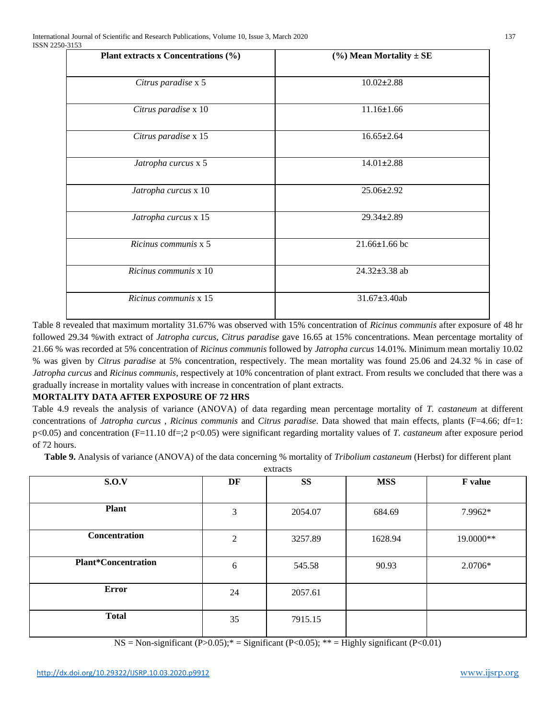| Plant extracts x Concentrations (%) | $(\%)$ Mean Mortality $\pm$ SE |  |  |
|-------------------------------------|--------------------------------|--|--|
| Citrus paradise x 5                 | $10.02 \pm 2.88$               |  |  |
| Citrus paradise x 10                | $11.16 \pm 1.66$               |  |  |
| Citrus paradise x 15                | $16.65 \pm 2.64$               |  |  |
| Jatropha curcus x 5                 | $14.01 \pm 2.88$               |  |  |
| Jatropha curcus x 10                | 25.06±2.92                     |  |  |
| Jatropha curcus x 15                | 29.34±2.89                     |  |  |
| Ricinus communis x 5                | $21.66 \pm 1.66$ bc            |  |  |
| Ricinus communis x 10               | 24.32±3.38 ab                  |  |  |
| Ricinus communis x 15               | 31.67±3.40ab                   |  |  |
|                                     |                                |  |  |

Table 8 revealed that maximum mortality 31.67% was observed with 15% concentration of *Ricinus communis* after exposure of 48 hr followed 29.34 %with extract of *Jatropha curcus, Citrus paradise* gave 16.65 at 15% concentrations. Mean percentage mortality of 21.66 % was recorded at 5% concentration of *Ricinus communis* followed by *Jatropha curcus* 14.01%. Minimum mean mortaliy 10.02 % was given by *Citrus paradise* at 5% concentration, respectively. The mean mortality was found 25.06 and 24.32 % in case of *Jatropha curcus* and *Ricinus communis*, respectively at 10% concentration of plant extract. From results we concluded that there was a gradually increase in mortality values with increase in concentration of plant extracts.

# **MORTALITY DATA AFTER EXPOSURE OF 72 HRS**

Table 4.9 reveals the analysis of variance (ANOVA) of data regarding mean percentage mortality of *T. castaneum* at different concentrations of *Jatropha curcus* , *Ricinus communis* and *Citrus paradise*. Data showed that main effects, plants (F=4.66; df=1: p<0.05) and concentration (F=11.10 df=;2 p<0.05) were significant regarding mortality values of *T. castaneum* after exposure period of 72 hours.

**Table 9.** Analysis of variance (ANOVA) of the data concerning % mortality of *Tribolium castaneum* (Herbst) for different plant extracts

| $\alpha$ ucto              |    |           |            |           |  |  |
|----------------------------|----|-----------|------------|-----------|--|--|
| S.O.V                      | DF | <b>SS</b> | <b>MSS</b> | F value   |  |  |
| <b>Plant</b>               | 3  | 2054.07   | 684.69     | 7.9962*   |  |  |
| Concentration              | 2  | 3257.89   | 1628.94    | 19.0000** |  |  |
| <b>Plant*Concentration</b> | 6  | 545.58    | 90.93      | 2.0706*   |  |  |
| <b>Error</b>               | 24 | 2057.61   |            |           |  |  |
| <b>Total</b>               | 35 | 7915.15   |            |           |  |  |

 $NS = Non-significant (P > 0.05); * = Significant (P < 0.05); ** = Highly significant (P < 0.01)$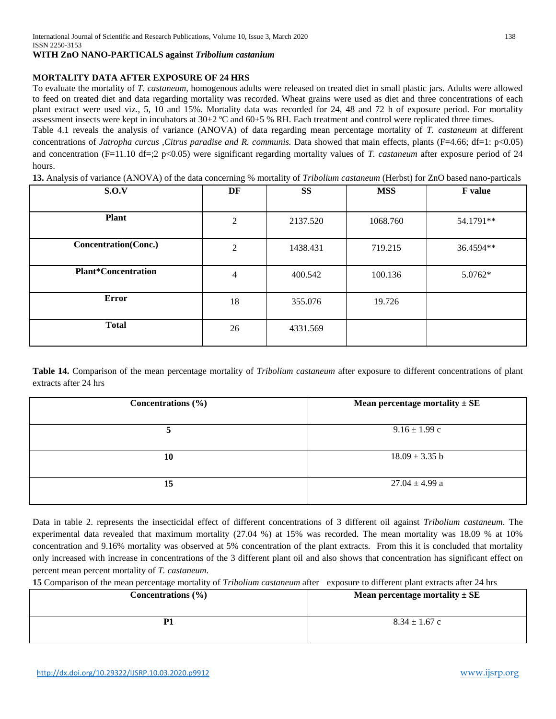#### **WITH ZnO NANO-PARTICALS against** *Tribolium castanium*

## **MORTALITY DATA AFTER EXPOSURE OF 24 HRS**

To evaluate the mortality of *T. castaneum*, homogenous adults were released on treated diet in small plastic jars. Adults were allowed to feed on treated diet and data regarding mortality was recorded. Wheat grains were used as diet and three concentrations of each plant extract were used viz., 5, 10 and 15%. Mortality data was recorded for 24, 48 and 72 h of exposure period. For mortality assessment insects were kept in incubators at  $30\pm2$  °C and  $60\pm5$  % RH. Each treatment and control were replicated three times.

Table 4.1 reveals the analysis of variance (ANOVA) of data regarding mean percentage mortality of *T. castaneum* at different concentrations of *Jatropha curcus ,Citrus paradise and R. communis.* Data showed that main effects, plants (F=4.66; df=1: p<0.05) and concentration (F=11.10 df=;2 p<0.05) were significant regarding mortality values of *T. castaneum* after exposure period of 24 hours.

**13.** Analysis of variance (ANOVA) of the data concerning % mortality of *Tribolium castaneum* (Herbst) for ZnO based nano-particals

| S.O.V                       | DF             | <b>SS</b> | <b>MSS</b> | <b>F</b> value |
|-----------------------------|----------------|-----------|------------|----------------|
| <b>Plant</b>                | 2              | 2137.520  | 1068.760   | 54.1791**      |
| <b>Concentration(Conc.)</b> | 2              | 1438.431  | 719.215    | 36.4594**      |
| <b>Plant*Concentration</b>  | $\overline{4}$ | 400.542   | 100.136    | 5.0762*        |
| Error                       | 18             | 355.076   | 19.726     |                |
| <b>Total</b>                | 26             | 4331.569  |            |                |

**Table 14.** Comparison of the mean percentage mortality of *Tribolium castaneum* after exposure to different concentrations of plant extracts after 24 hrs

| Concentrations $(\% )$ | Mean percentage mortality $\pm$ SE |
|------------------------|------------------------------------|
|                        | $9.16 \pm 1.99$ c                  |
| 10                     | $18.09 \pm 3.35$ b                 |
| 15                     | $27.04 \pm 4.99$ a                 |

Data in table 2. represents the insecticidal effect of different concentrations of 3 different oil against *Tribolium castaneum*. The experimental data revealed that maximum mortality (27.04 %) at 15% was recorded. The mean mortality was 18.09 % at 10% concentration and 9.16% mortality was observed at 5% concentration of the plant extracts. From this it is concluded that mortality only increased with increase in concentrations of the 3 different plant oil and also shows that concentration has significant effect on percent mean percent mortality of *T. castaneum*.

**15** Comparison of the mean percentage mortality of *Tribolium castaneum* after exposure to different plant extracts after 24 hrs

| Concentrations $(\% )$ | Mean percentage mortality $\pm$ SE |
|------------------------|------------------------------------|
| P1                     | $8.34 \pm 1.67$ c                  |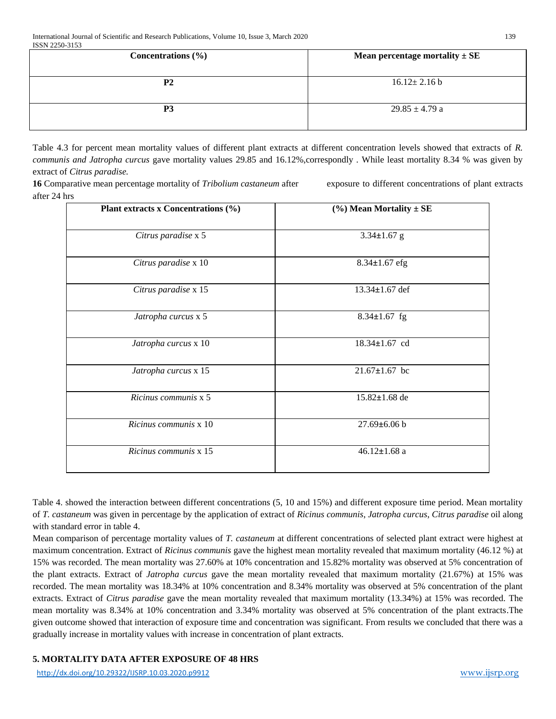| 10011 2200 0100<br>Concentrations $(\% )$ | Mean percentage mortality $\pm$ SE |
|-------------------------------------------|------------------------------------|
| P <sub>2</sub>                            | $16.12 \pm 2.16 b$                 |
| P3                                        | $29.85 \pm 4.79$ a                 |

Table 4.3 for percent mean mortality values of different plant extracts at different concentration levels showed that extracts of *R. communis and Jatropha curcus* gave mortality values 29.85 and 16.12%,correspondly *.* While least mortality 8.34 % was given by extract of *Citrus paradise.*

**16** Comparative mean percentage mortality of *Tribolium castaneum* after exposure to different concentrations of plant extracts after 24 hrs

| Plant extracts x Concentrations (%) | $(\%)$ Mean Mortality $\pm$ SE |
|-------------------------------------|--------------------------------|
| Citrus paradise x 5                 | $3.34 \pm 1.67$ g              |
| Citrus paradise x 10                | 8.34±1.67 efg                  |
| Citrus paradise x 15                | 13.34±1.67 def                 |
| Jatropha curcus x 5                 | $8.34 \pm 1.67$ fg             |
| Jatropha curcus x 10                | 18.34±1.67 cd                  |
| Jatropha curcus x 15                | $21.67 \pm 1.67$ bc            |
| Ricinus communis x 5                | 15.82±1.68 de                  |
| Ricinus communis x 10               | $27.69 \pm 6.06$ b             |
| Ricinus communis x 15               | $46.12 \pm 1.68$ a             |
|                                     |                                |

Table 4. showed the interaction between different concentrations (5, 10 and 15%) and different exposure time period. Mean mortality of *T. castaneum* was given in percentage by the application of extract of *Ricinus communis*, *Jatropha curcus*, *Citrus paradise* oil along with standard error in table 4.

Mean comparison of percentage mortality values of *T. castaneum* at different concentrations of selected plant extract were highest at maximum concentration. Extract of *Ricinus communis* gave the highest mean mortality revealed that maximum mortality (46.12 %) at 15% was recorded. The mean mortality was 27.60% at 10% concentration and 15.82% mortality was observed at 5% concentration of the plant extracts. Extract of *Jatropha curcus* gave the mean mortality revealed that maximum mortality (21.67%) at 15% was recorded. The mean mortality was 18.34% at 10% concentration and 8.34% mortality was observed at 5% concentration of the plant extracts. Extract of *Citrus paradise* gave the mean mortality revealed that maximum mortality (13.34%) at 15% was recorded. The mean mortality was 8.34% at 10% concentration and 3.34% mortality was observed at 5% concentration of the plant extracts.The given outcome showed that interaction of exposure time and concentration was significant. From results we concluded that there was a gradually increase in mortality values with increase in concentration of plant extracts.

# **5. MORTALITY DATA AFTER EXPOSURE OF 48 HRS**

<http://dx.doi.org/10.29322/IJSRP.10.03.2020.p9912> [www.ijsrp.org](http://ijsrp.org/)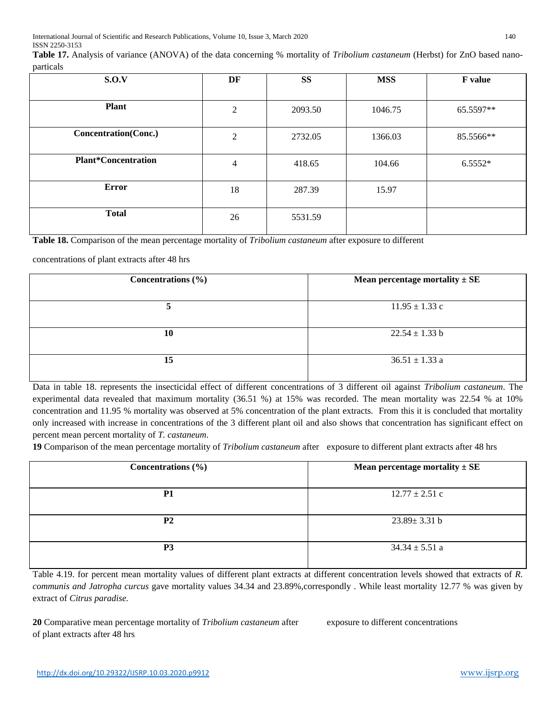**Table 17.** Analysis of variance (ANOVA) of the data concerning % mortality of *Tribolium castaneum* (Herbst) for ZnO based nanoparticals

| $\mathbf{r}$                |                |           |            |           |
|-----------------------------|----------------|-----------|------------|-----------|
| S.O.V                       | DF             | <b>SS</b> | <b>MSS</b> | F value   |
| <b>Plant</b>                | $\overline{2}$ | 2093.50   | 1046.75    | 65.5597** |
| <b>Concentration(Conc.)</b> | 2              | 2732.05   | 1366.03    | 85.5566** |
| <b>Plant*Concentration</b>  | 4              | 418.65    | 104.66     | $6.5552*$ |
| <b>Error</b>                | 18             | 287.39    | 15.97      |           |
| <b>Total</b>                | 26             | 5531.59   |            |           |

**Table 18.** Comparison of the mean percentage mortality of *Tribolium castaneum* after exposure to different

concentrations of plant extracts after 48 hrs

| Concentrations $(\% )$ | Mean percentage mortality $\pm$ SE |
|------------------------|------------------------------------|
|                        | $11.95 \pm 1.33$ c                 |
| 10                     | $22.54 \pm 1.33$ b                 |
| 15                     | $36.51 \pm 1.33$ a                 |

Data in table 18. represents the insecticidal effect of different concentrations of 3 different oil against *Tribolium castaneum*. The experimental data revealed that maximum mortality (36.51 %) at 15% was recorded. The mean mortality was 22.54 % at 10% concentration and 11.95 % mortality was observed at 5% concentration of the plant extracts. From this it is concluded that mortality only increased with increase in concentrations of the 3 different plant oil and also shows that concentration has significant effect on percent mean percent mortality of *T. castaneum*.

**19** Comparison of the mean percentage mortality of *Tribolium castaneum* after exposure to different plant extracts after 48 hrs

| Concentrations $(\% )$ | Mean percentage mortality $\pm$ SE |
|------------------------|------------------------------------|
| <b>P1</b>              | $12.77 \pm 2.51$ c                 |
| P <sub>2</sub>         | $23.89 \pm 3.31$ b                 |
| P <sub>3</sub>         | $34.34 \pm 5.51$ a                 |

Table 4.19. for percent mean mortality values of different plant extracts at different concentration levels showed that extracts of *R. communis and Jatropha curcus* gave mortality values 34.34 and 23.89%,correspondly *.* While least mortality 12.77 % was given by extract of *Citrus paradise.*

**20** Comparative mean percentage mortality of *Tribolium castaneum* after exposure to different concentrations of plant extracts after 48 hrs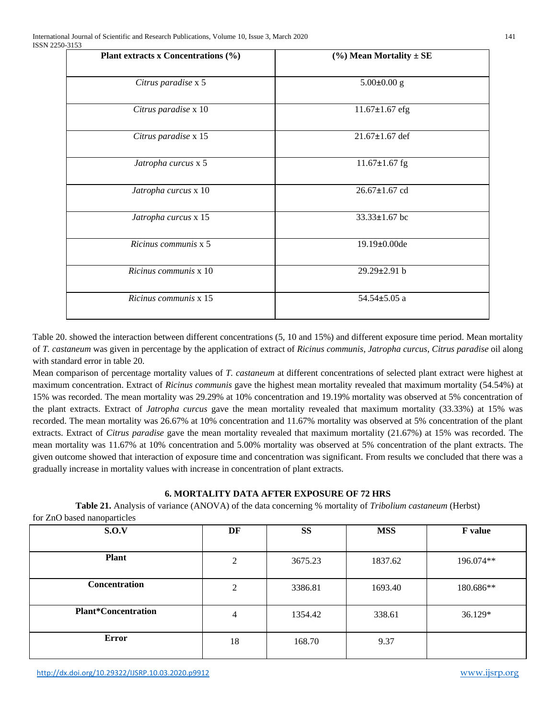| Plant extracts x Concentrations $(\% )$ | $(\%)$ Mean Mortality $\pm$ SE |
|-----------------------------------------|--------------------------------|
| Citrus paradise x 5                     | $5.00 \pm 0.00$ g              |
| Citrus paradise x 10                    | $11.67 \pm 1.67$ efg           |
| Citrus paradise x 15                    | $21.67 \pm 1.67$ def           |
| Jatropha curcus x 5                     | $11.67 \pm 1.67$ fg            |
| Jatropha curcus x 10                    | 26.67±1.67 cd                  |
| Jatropha curcus x 15                    | $33.33 \pm 1.67$ bc            |
| Ricinus communis x 5                    | 19.19±0.00de                   |
| Ricinus communis x 10                   | 29.29±2.91 b                   |
| Ricinus communis x 15                   | $54.54 \pm 5.05$ a             |
|                                         |                                |

Table 20. showed the interaction between different concentrations (5, 10 and 15%) and different exposure time period. Mean mortality of *T. castaneum* was given in percentage by the application of extract of *Ricinus communis*, *Jatropha curcus*, *Citrus paradise* oil along with standard error in table 20.

Mean comparison of percentage mortality values of *T. castaneum* at different concentrations of selected plant extract were highest at maximum concentration. Extract of *Ricinus communis* gave the highest mean mortality revealed that maximum mortality (54.54%) at 15% was recorded. The mean mortality was 29.29% at 10% concentration and 19.19% mortality was observed at 5% concentration of the plant extracts. Extract of *Jatropha curcus* gave the mean mortality revealed that maximum mortality (33.33%) at 15% was recorded. The mean mortality was 26.67% at 10% concentration and 11.67% mortality was observed at 5% concentration of the plant extracts. Extract of *Citrus paradise* gave the mean mortality revealed that maximum mortality (21.67%) at 15% was recorded. The mean mortality was 11.67% at 10% concentration and 5.00% mortality was observed at 5% concentration of the plant extracts. The given outcome showed that interaction of exposure time and concentration was significant. From results we concluded that there was a gradually increase in mortality values with increase in concentration of plant extracts.

# **6. MORTALITY DATA AFTER EXPOSURE OF 72 HRS**

**Table 21.** Analysis of variance (ANOVA) of the data concerning % mortality of *Tribolium castaneum* (Herbst) for ZnO based nanoparticles

| S.O.V                      | DF             | <b>SS</b> | <b>MSS</b> | <b>F</b> value |
|----------------------------|----------------|-----------|------------|----------------|
| <b>Plant</b>               | 2              | 3675.23   | 1837.62    | 196.074**      |
| Concentration              | 2              | 3386.81   | 1693.40    | 180.686**      |
| <b>Plant*Concentration</b> | $\overline{4}$ | 1354.42   | 338.61     | 36.129*        |
| <b>Error</b>               | 18             | 168.70    | 9.37       |                |

<http://dx.doi.org/10.29322/IJSRP.10.03.2020.p9912> [www.ijsrp.org](http://ijsrp.org/)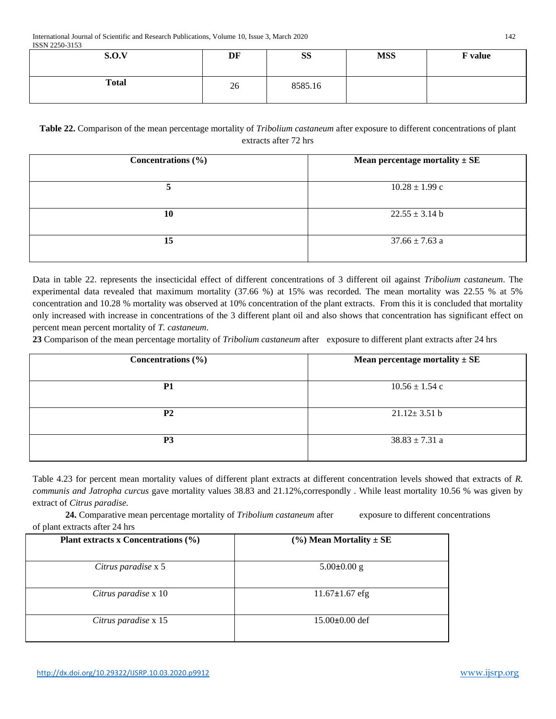| S.O.V        | DF | <b>SS</b> | <b>MSS</b> | <b>F</b> value |
|--------------|----|-----------|------------|----------------|
| <b>Total</b> | 26 | 8585.16   |            |                |

**Table 22.** Comparison of the mean percentage mortality of *Tribolium castaneum* after exposure to different concentrations of plant extracts after 72 hrs

| Concentrations $(\% )$ | Mean percentage mortality $\pm$ SE |
|------------------------|------------------------------------|
|                        | $10.28 \pm 1.99$ c                 |
| 10                     | $22.55 \pm 3.14$ b                 |
| 15                     | $37.66 \pm 7.63$ a                 |

Data in table 22. represents the insecticidal effect of different concentrations of 3 different oil against *Tribolium castaneum*. The experimental data revealed that maximum mortality (37.66 %) at 15% was recorded. The mean mortality was 22.55 % at 5% concentration and 10.28 % mortality was observed at 10% concentration of the plant extracts. From this it is concluded that mortality only increased with increase in concentrations of the 3 different plant oil and also shows that concentration has significant effect on percent mean percent mortality of *T. castaneum*.

**23** Comparison of the mean percentage mortality of *Tribolium castaneum* after exposure to different plant extracts after 24 hrs

| Concentrations $(\% )$ | Mean percentage mortality $\pm$ SE |
|------------------------|------------------------------------|
| <b>P1</b>              | $10.56 \pm 1.54$ c                 |
| P <sub>2</sub>         | $21.12 \pm 3.51 b$                 |
| P <sub>3</sub>         | $38.83 \pm 7.31$ a                 |

Table 4.23 for percent mean mortality values of different plant extracts at different concentration levels showed that extracts of *R. communis and Jatropha curcus* gave mortality values 38.83 and 21.12%,correspondly *.* While least mortality 10.56 % was given by extract of *Citrus paradise.*

24. Comparative mean percentage mortality of *Tribolium castaneum* after exposure to different concentrations of plant extracts after 24 hrs

| Plant extracts x Concentrations $(\% )$ | $(\%)$ Mean Mortality $\pm$ SE |
|-----------------------------------------|--------------------------------|
| Citrus paradise x 5                     | $5.00\pm0.00$ g                |
| Citrus paradise x 10                    | $11.67 \pm 1.67$ efg           |
| Citrus paradise x 15                    | $15.00\pm0.00$ def             |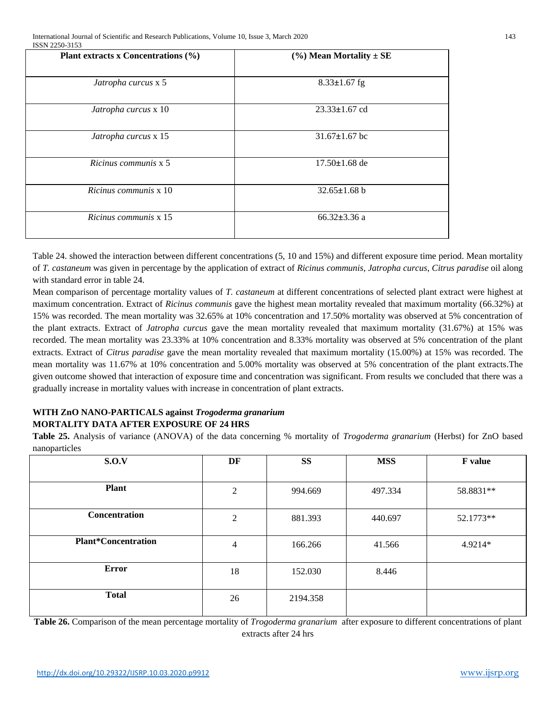| Plant extracts x Concentrations (%) | $(\%)$ Mean Mortality $\pm$ SE |
|-------------------------------------|--------------------------------|
| Jatropha curcus x 5                 | $8.33 \pm 1.67$ fg             |
| Jatropha curcus x 10                | $23.33 \pm 1.67$ cd            |
| Jatropha curcus x 15                | $31.67 \pm 1.67$ bc            |
| Ricinus communis x 5                | $17.50 \pm 1.68$ de            |
| Ricinus communis x 10               | $32.65 \pm 1.68$ b             |
| Ricinus communis x 15               | $66.32 \pm 3.36$ a             |

Table 24. showed the interaction between different concentrations (5, 10 and 15%) and different exposure time period. Mean mortality of *T. castaneum* was given in percentage by the application of extract of *Ricinus communis*, *Jatropha curcus*, *Citrus paradise* oil along with standard error in table 24.

Mean comparison of percentage mortality values of *T. castaneum* at different concentrations of selected plant extract were highest at maximum concentration. Extract of *Ricinus communis* gave the highest mean mortality revealed that maximum mortality (66.32%) at 15% was recorded. The mean mortality was 32.65% at 10% concentration and 17.50% mortality was observed at 5% concentration of the plant extracts. Extract of *Jatropha curcus* gave the mean mortality revealed that maximum mortality (31.67%) at 15% was recorded. The mean mortality was 23.33% at 10% concentration and 8.33% mortality was observed at 5% concentration of the plant extracts. Extract of *Citrus paradise* gave the mean mortality revealed that maximum mortality (15.00%) at 15% was recorded. The mean mortality was 11.67% at 10% concentration and 5.00% mortality was observed at 5% concentration of the plant extracts.The given outcome showed that interaction of exposure time and concentration was significant. From results we concluded that there was a gradually increase in mortality values with increase in concentration of plant extracts.

# **WITH ZnO NANO-PARTICALS against** *Trogoderma granarium* **MORTALITY DATA AFTER EXPOSURE OF 24 HRS**

**Table 25.** Analysis of variance (ANOVA) of the data concerning % mortality of *Trogoderma granarium* (Herbst) for ZnO based nanoparticles

| S.O.V                      | DF             | <b>SS</b> | <b>MSS</b> | F value   |
|----------------------------|----------------|-----------|------------|-----------|
|                            |                |           |            |           |
| <b>Plant</b>               | $\overline{2}$ | 994.669   | 497.334    | 58.8831** |
| Concentration              | 2              | 881.393   | 440.697    | 52.1773** |
| <b>Plant*Concentration</b> | 4              | 166.266   | 41.566     | 4.9214*   |
| Error                      | 18             | 152.030   | 8.446      |           |
| <b>Total</b>               | 26             | 2194.358  |            |           |

**Table 26.** Comparison of the mean percentage mortality of *Trogoderma granarium* after exposure to different concentrations of plant extracts after 24 hrs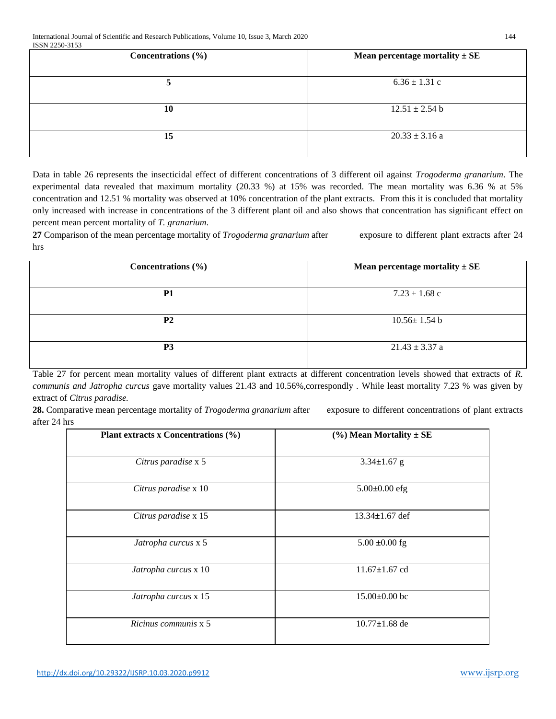| Concentrations $(\% )$ | Mean percentage mortality $\pm$ SE |
|------------------------|------------------------------------|
|                        | $6.36 \pm 1.31$ c                  |
| 10                     | $12.51 \pm 2.54$ b                 |
| 15                     | $20.33 \pm 3.16$ a                 |

Data in table 26 represents the insecticidal effect of different concentrations of 3 different oil against *Trogoderma granarium*. The experimental data revealed that maximum mortality (20.33 %) at 15% was recorded. The mean mortality was 6.36 % at 5% concentration and 12.51 % mortality was observed at 10% concentration of the plant extracts. From this it is concluded that mortality only increased with increase in concentrations of the 3 different plant oil and also shows that concentration has significant effect on percent mean percent mortality of *T. granarium*.

**27** Comparison of the mean percentage mortality of *Trogoderma granarium* after exposure to different plant extracts after 24 hrs

| Concentrations $(\% )$ | Mean percentage mortality $\pm$ SE |
|------------------------|------------------------------------|
| P <sub>1</sub>         | $7.23 \pm 1.68$ c                  |
| <b>P2</b>              | $10.56 \pm 1.54$ b                 |
| <b>P3</b>              | $21.43 \pm 3.37$ a                 |

Table 27 for percent mean mortality values of different plant extracts at different concentration levels showed that extracts of *R. communis and Jatropha curcus* gave mortality values 21.43 and 10.56%,correspondly *.* While least mortality 7.23 % was given by extract of *Citrus paradise.*

28. Comparative mean percentage mortality of *Trogoderma granarium* after exposure to different concentrations of plant extracts after 24 hrs

| Plant extracts x Concentrations (%) | $(\%)$ Mean Mortality $\pm$ SE |
|-------------------------------------|--------------------------------|
| Citrus paradise x 5                 | $3.34 \pm 1.67$ g              |
| Citrus paradise x 10                | $5.00 \pm 0.00$ efg            |
| Citrus paradise x 15                | $13.34 \pm 1.67$ def           |
| Jatropha curcus x 5                 | $5.00 \pm 0.00$ fg             |
| Jatropha curcus x 10                | $11.67 \pm 1.67$ cd            |
| Jatropha curcus x 15                | $15.00\pm0.00$ bc              |
| Ricinus communis x 5                | $10.77 \pm 1.68$ de            |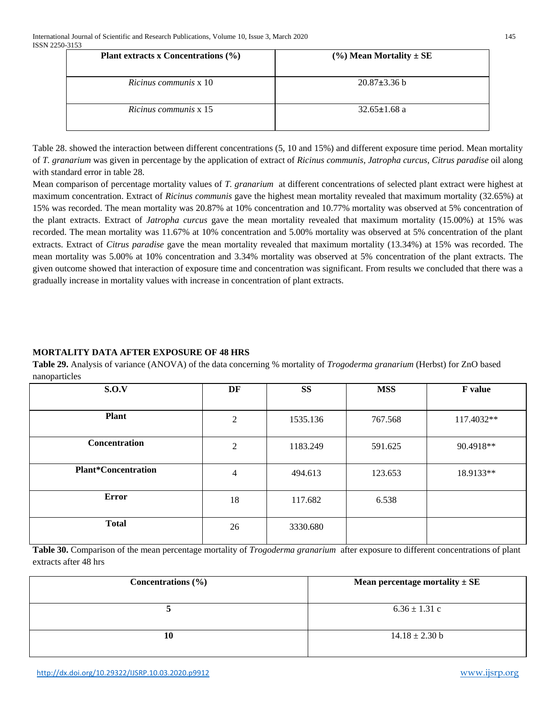| Plant extracts x Concentrations $(\% )$ | $(\%)$ Mean Mortality $\pm$ SE |
|-----------------------------------------|--------------------------------|
| Ricinus communis x 10                   | $20.87 \pm 3.36$ b             |
| Ricinus communis x 15                   | $32.65 \pm 1.68$ a             |

Table 28. showed the interaction between different concentrations (5, 10 and 15%) and different exposure time period. Mean mortality of *T. granarium* was given in percentage by the application of extract of *Ricinus communis*, *Jatropha curcus*, *Citrus paradise* oil along with standard error in table 28.

Mean comparison of percentage mortality values of *T. granarium* at different concentrations of selected plant extract were highest at maximum concentration. Extract of *Ricinus communis* gave the highest mean mortality revealed that maximum mortality (32.65%) at 15% was recorded. The mean mortality was 20.87% at 10% concentration and 10.77% mortality was observed at 5% concentration of the plant extracts. Extract of *Jatropha curcus* gave the mean mortality revealed that maximum mortality (15.00%) at 15% was recorded. The mean mortality was 11.67% at 10% concentration and 5.00% mortality was observed at 5% concentration of the plant extracts. Extract of *Citrus paradise* gave the mean mortality revealed that maximum mortality (13.34%) at 15% was recorded. The mean mortality was 5.00% at 10% concentration and 3.34% mortality was observed at 5% concentration of the plant extracts. The given outcome showed that interaction of exposure time and concentration was significant. From results we concluded that there was a gradually increase in mortality values with increase in concentration of plant extracts.

# **MORTALITY DATA AFTER EXPOSURE OF 48 HRS**

**Table 29.** Analysis of variance (ANOVA) of the data concerning % mortality of *Trogoderma granarium* (Herbst) for ZnO based nanoparticles

| S.O.V                      | DF             | <b>SS</b> | <b>MSS</b> | <b>F</b> value |
|----------------------------|----------------|-----------|------------|----------------|
|                            |                |           |            |                |
| <b>Plant</b>               | 2              | 1535.136  | 767.568    | 117.4032**     |
| Concentration              | $\mathfrak{2}$ | 1183.249  | 591.625    | 90.4918**      |
| <b>Plant*Concentration</b> | 4              | 494.613   | 123.653    | 18.9133**      |
| <b>Error</b>               | 18             | 117.682   | 6.538      |                |
| <b>Total</b>               | 26             | 3330.680  |            |                |

**Table 30.** Comparison of the mean percentage mortality of *Trogoderma granarium* after exposure to different concentrations of plant extracts after 48 hrs

| Concentrations $(\% )$ | Mean percentage mortality $\pm$ SE |  |
|------------------------|------------------------------------|--|
|                        |                                    |  |
|                        | $6.36 \pm 1.31$ c                  |  |
| 10                     | $14.18 \pm 2.30$ b                 |  |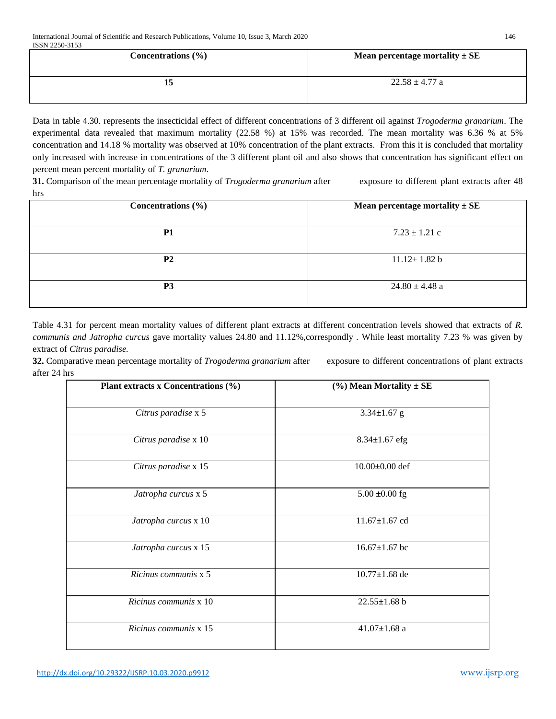| Concentrations $(\% )$ | Mean percentage mortality $\pm$ SE |
|------------------------|------------------------------------|
| 13                     | $22.58 \pm 4.77$ a                 |

Data in table 4.30. represents the insecticidal effect of different concentrations of 3 different oil against *Trogoderma granarium*. The experimental data revealed that maximum mortality (22.58 %) at 15% was recorded. The mean mortality was 6.36 % at 5% concentration and 14.18 % mortality was observed at 10% concentration of the plant extracts. From this it is concluded that mortality only increased with increase in concentrations of the 3 different plant oil and also shows that concentration has significant effect on percent mean percent mortality of *T. granarium*.

**31.** Comparison of the mean percentage mortality of *Trogoderma granarium* after exposure to different plant extracts after 48 hrs

| Concentrations $(\% )$ | Mean percentage mortality $\pm$ SE |
|------------------------|------------------------------------|
| P <sub>1</sub>         | $7.23 \pm 1.21$ c                  |
| <b>P2</b>              | $11.12 \pm 1.82$ b                 |
| P <sub>3</sub>         | $24.80 \pm 4.48$ a                 |

Table 4.31 for percent mean mortality values of different plant extracts at different concentration levels showed that extracts of *R. communis and Jatropha curcus* gave mortality values 24.80 and 11.12%,correspondly *.* While least mortality 7.23 % was given by extract of *Citrus paradise.*

**32.** Comparative mean percentage mortality of *Trogoderma granarium* after exposure to different concentrations of plant extracts after 24 hrs

| Plant extracts x Concentrations (%) | $(\%)$ Mean Mortality $\pm$ SE |  |  |
|-------------------------------------|--------------------------------|--|--|
| Citrus paradise x 5                 | $3.34 \pm 1.67$ g              |  |  |
| Citrus paradise x 10                | $8.34 \pm 1.67$ efg            |  |  |
| Citrus paradise x 15                | $10.00 \pm 0.00$ def           |  |  |
| Jatropha curcus x 5                 | $5.00 \pm 0.00$ fg             |  |  |
| Jatropha curcus x 10                | $11.67 \pm 1.67$ cd            |  |  |
| Jatropha curcus x 15                | $16.67 \pm 1.67$ bc            |  |  |
| Ricinus communis x 5                | $10.77 \pm 1.68$ de            |  |  |
| Ricinus communis x 10               | $22.55 \pm 1.68$ b             |  |  |
| Ricinus communis x 15               | 41.07 $\pm$ 1.68 a             |  |  |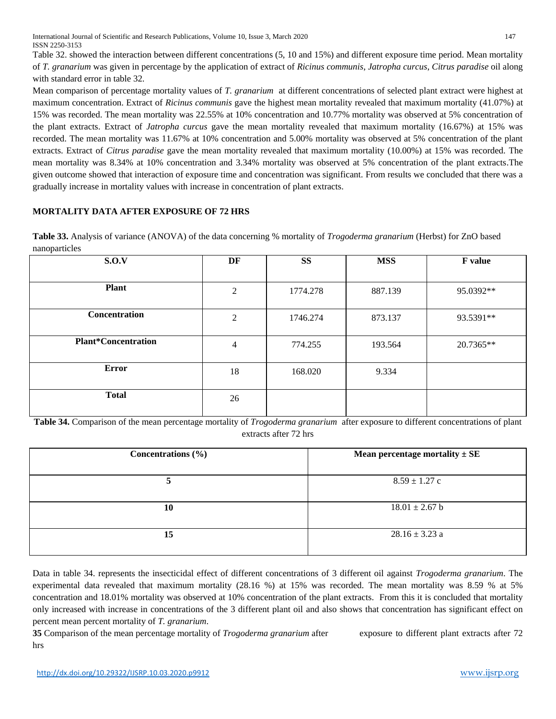International Journal of Scientific and Research Publications, Volume 10, Issue 3, March 2020 147 ISSN 2250-3153

Table 32. showed the interaction between different concentrations (5, 10 and 15%) and different exposure time period. Mean mortality of *T. granarium* was given in percentage by the application of extract of *Ricinus communis*, *Jatropha curcus*, *Citrus paradise* oil along with standard error in table 32.

Mean comparison of percentage mortality values of *T. granarium* at different concentrations of selected plant extract were highest at maximum concentration. Extract of *Ricinus communis* gave the highest mean mortality revealed that maximum mortality (41.07%) at 15% was recorded. The mean mortality was 22.55% at 10% concentration and 10.77% mortality was observed at 5% concentration of the plant extracts. Extract of *Jatropha curcus* gave the mean mortality revealed that maximum mortality (16.67%) at 15% was recorded. The mean mortality was 11.67% at 10% concentration and 5.00% mortality was observed at 5% concentration of the plant extracts. Extract of *Citrus paradise* gave the mean mortality revealed that maximum mortality (10.00%) at 15% was recorded. The mean mortality was 8.34% at 10% concentration and 3.34% mortality was observed at 5% concentration of the plant extracts.The given outcome showed that interaction of exposure time and concentration was significant. From results we concluded that there was a gradually increase in mortality values with increase in concentration of plant extracts.

# **MORTALITY DATA AFTER EXPOSURE OF 72 HRS**

**Table 33.** Analysis of variance (ANOVA) of the data concerning % mortality of *Trogoderma granarium* (Herbst) for ZnO based nanoparticles

| $\mathbf{r}$               |                |           |            |                |
|----------------------------|----------------|-----------|------------|----------------|
| S.O.V                      | DF             | <b>SS</b> | <b>MSS</b> | <b>F</b> value |
| <b>Plant</b>               | 2              | 1774.278  | 887.139    | 95.0392**      |
| Concentration              | 2              | 1746.274  | 873.137    | 93.5391**      |
| <b>Plant*Concentration</b> | $\overline{4}$ | 774.255   | 193.564    | 20.7365**      |
| <b>Error</b>               | 18             | 168.020   | 9.334      |                |
| <b>Total</b>               | 26             |           |            |                |

**Table 34.** Comparison of the mean percentage mortality of *Trogoderma granarium* after exposure to different concentrations of plant extracts after 72 hrs

| Concentrations $(\% )$ | Mean percentage mortality $\pm$ SE |
|------------------------|------------------------------------|
| 5                      | $8.59 \pm 1.27$ c                  |
| 10                     | $18.01 \pm 2.67$ b                 |
| 15                     | $28.16 \pm 3.23$ a                 |

Data in table 34. represents the insecticidal effect of different concentrations of 3 different oil against *Trogoderma granarium*. The experimental data revealed that maximum mortality (28.16 %) at 15% was recorded. The mean mortality was 8.59 % at 5% concentration and 18.01% mortality was observed at 10% concentration of the plant extracts. From this it is concluded that mortality only increased with increase in concentrations of the 3 different plant oil and also shows that concentration has significant effect on percent mean percent mortality of *T. granarium*.

**35** Comparison of the mean percentage mortality of *Trogoderma granarium* after exposure to different plant extracts after 72 hrs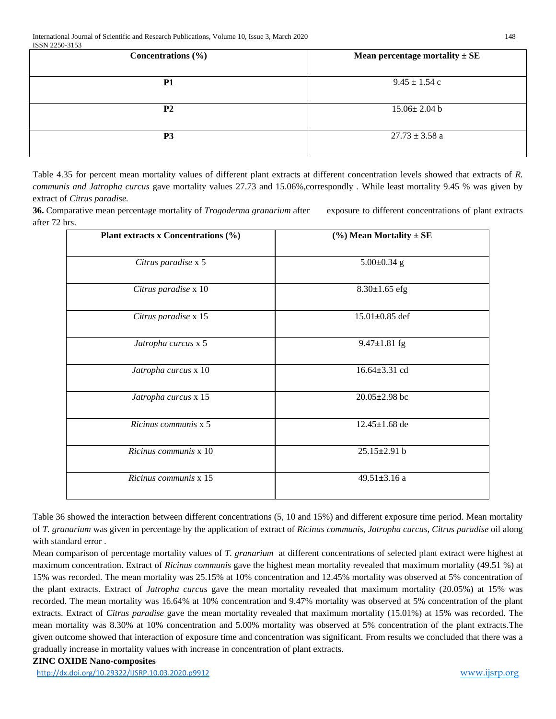| Concentrations $(\% )$ | Mean percentage mortality $\pm$ SE |
|------------------------|------------------------------------|
| <b>P1</b>              | $9.45 \pm 1.54$ c                  |
| P <sub>2</sub>         | $15.06 \pm 2.04$ b                 |
| P <sub>3</sub>         | $27.73 \pm 3.58$ a                 |

Table 4.35 for percent mean mortality values of different plant extracts at different concentration levels showed that extracts of *R. communis and Jatropha curcus* gave mortality values 27.73 and 15.06%,correspondly *.* While least mortality 9.45 % was given by extract of *Citrus paradise.*

**36.** Comparative mean percentage mortality of *Trogoderma granarium* after exposure to different concentrations of plant extracts after 72 hrs.

| Plant extracts x Concentrations (%) | $(\%)$ Mean Mortality $\pm$ SE |  |  |
|-------------------------------------|--------------------------------|--|--|
| Citrus paradise x 5                 | $5.00 \pm 0.34$ g              |  |  |
| Citrus paradise x 10                | $8.30 \pm 1.65$ efg            |  |  |
| Citrus paradise x 15                | $15.01 \pm 0.85$ def           |  |  |
| Jatropha curcus x 5                 | $9.47 \pm 1.81$ fg             |  |  |
| Jatropha curcus x 10                | 16.64±3.31 cd                  |  |  |
| Jatropha curcus x 15                | $20.05 \pm 2.98$ bc            |  |  |
| Ricinus communis x 5                | $12.45 \pm 1.68$ de            |  |  |
| Ricinus communis x 10               | $25.15 \pm 2.91$ b             |  |  |
| Ricinus communis x 15               | 49.51±3.16 a                   |  |  |

Table 36 showed the interaction between different concentrations (5, 10 and 15%) and different exposure time period. Mean mortality of *T. granarium* was given in percentage by the application of extract of *Ricinus communis*, *Jatropha curcus*, *Citrus paradise* oil along with standard error .

Mean comparison of percentage mortality values of *T. granarium* at different concentrations of selected plant extract were highest at maximum concentration. Extract of *Ricinus communis* gave the highest mean mortality revealed that maximum mortality (49.51 %) at 15% was recorded. The mean mortality was 25.15% at 10% concentration and 12.45% mortality was observed at 5% concentration of the plant extracts. Extract of *Jatropha curcus* gave the mean mortality revealed that maximum mortality (20.05%) at 15% was recorded. The mean mortality was 16.64% at 10% concentration and 9.47% mortality was observed at 5% concentration of the plant extracts. Extract of *Citrus paradise* gave the mean mortality revealed that maximum mortality (15.01%) at 15% was recorded. The mean mortality was 8.30% at 10% concentration and 5.00% mortality was observed at 5% concentration of the plant extracts.The given outcome showed that interaction of exposure time and concentration was significant. From results we concluded that there was a gradually increase in mortality values with increase in concentration of plant extracts.

#### **ZINC OXIDE Nano-composites**

<http://dx.doi.org/10.29322/IJSRP.10.03.2020.p9912> [www.ijsrp.org](http://ijsrp.org/)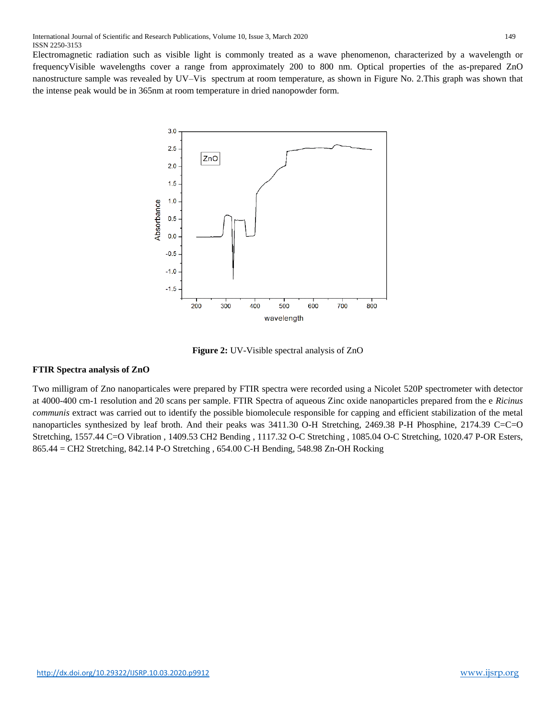Electromagnetic radiation such as visible light is commonly treated as a wave phenomenon, characterized by a wavelength or frequencyVisible wavelengths cover a range from approximately 200 to 800 nm. Optical properties of the as-prepared ZnO nanostructure sample was revealed by UV–Vis spectrum at room temperature, as shown in Figure No. 2.This graph was shown that the intense peak would be in 365nm at room temperature in dried nanopowder form.



**Figure 2:** UV-Visible spectral analysis of ZnO

# **FTIR Spectra analysis of ZnO**

Two milligram of Zno nanoparticales were prepared by FTIR spectra were recorded using a Nicolet 520P spectrometer with detector at 4000-400 cm-1 resolution and 20 scans per sample. FTIR Spectra of aqueous Zinc oxide nanoparticles prepared from the e *Ricinus communis* extract was carried out to identify the possible biomolecule responsible for capping and efficient stabilization of the metal nanoparticles synthesized by leaf broth. And their peaks was 3411.30 O-H Stretching, 2469.38 P-H Phosphine, 2174.39 C=C=O Stretching, 1557.44 C=O Vibration , 1409.53 CH2 Bending , 1117.32 O-C Stretching , 1085.04 O-C Stretching, 1020.47 P-OR Esters, 865.44 = CH2 Stretching, 842.14 P-O Stretching , 654.00 C-H Bending, 548.98 Zn-OH Rocking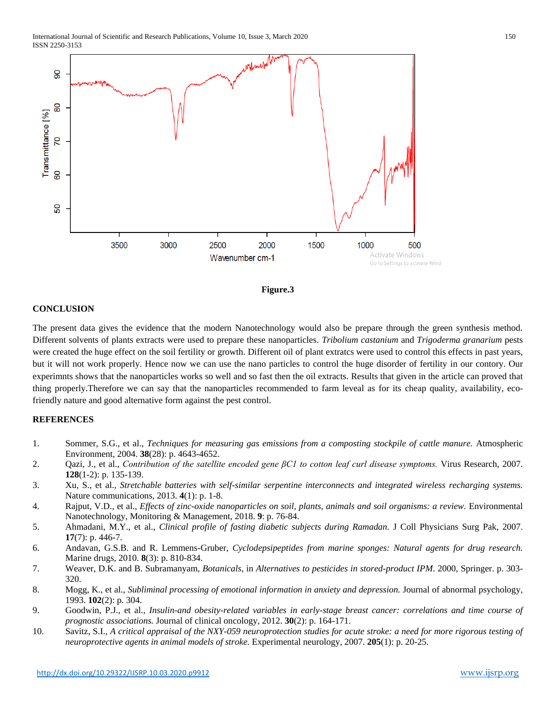



# **CONCLUSION**

The present data gives the evidence that the modern Nanotechnology would also be prepare through the green synthesis method. Different solvents of plants extracts were used to prepare these nanoparticles. *Tribolium castanium* and *Trigoderma granarium* pests were created the huge effect on the soil fertility or growth. Different oil of plant extratcs were used to control this effects in past years, but it will not work properly. Hence now we can use the nano particles to control the huge disorder of fertility in our contory. Our experimnts shows that the nanoparticles works so well and so fast then the oil extracts. Results that given in the article can proved that thing properly.Therefore we can say that the nanoparticles recommended to farm leveal as for its cheap quality, availability, ecofriendly nature and good alternative form against the pest control.

## **REFERENCES**

- 1. Sommer, S.G., et al., *Techniques for measuring gas emissions from a composting stockpile of cattle manure.* Atmospheric Environment, 2004. **38**(28): p. 4643-4652.
- 2. Qazi, J., et al., *Contribution of the satellite encoded gene βC1 to cotton leaf curl disease symptoms.* Virus Research, 2007. **128**(1-2): p. 135-139.
- 3. Xu, S., et al., *Stretchable batteries with self-similar serpentine interconnects and integrated wireless recharging systems.* Nature communications, 2013. **4**(1): p. 1-8.
- 4. Rajput, V.D., et al., *Effects of zinc-oxide nanoparticles on soil, plants, animals and soil organisms: a review.* Environmental Nanotechnology, Monitoring & Management, 2018. **9**: p. 76-84.
- 5. Ahmadani, M.Y., et al., *Clinical profile of fasting diabetic subjects during Ramadan.* J Coll Physicians Surg Pak, 2007. **17**(7): p. 446-7.
- 6. Andavan, G.S.B. and R. Lemmens-Gruber, *Cyclodepsipeptides from marine sponges: Natural agents for drug research.* Marine drugs, 2010. **8**(3): p. 810-834.
- 7. Weaver, D.K. and B. Subramanyam, *Botanicals*, in *Alternatives to pesticides in stored-product IPM*. 2000, Springer. p. 303- 320.
- 8. Mogg, K., et al., *Subliminal processing of emotional information in anxiety and depression.* Journal of abnormal psychology, 1993. **102**(2): p. 304.
- 9. Goodwin, P.J., et al., *Insulin-and obesity-related variables in early-stage breast cancer: correlations and time course of prognostic associations.* Journal of clinical oncology, 2012. **30**(2): p. 164-171.
- 10. Savitz, S.I., *A critical appraisal of the NXY-059 neuroprotection studies for acute stroke: a need for more rigorous testing of neuroprotective agents in animal models of stroke.* Experimental neurology, 2007. **205**(1): p. 20-25.